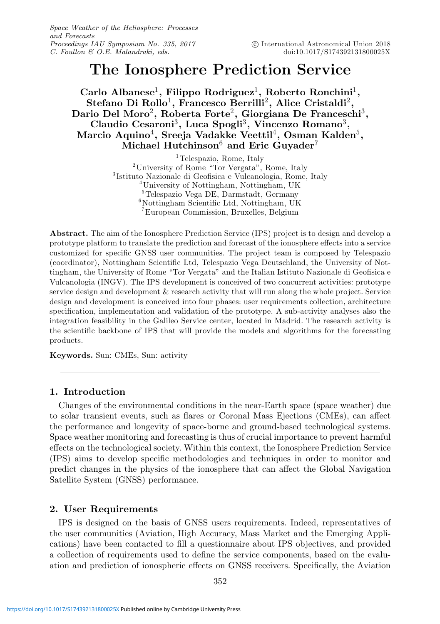Space Weather of the Heliosphere: Processes and Forecasts Proceedings IAU Symposium No. 335, 2017 C. Foullon & O.E. Malandraki, eds.

# **The Ionosphere Prediction Service**

**Carlo Albanese**1**, Filippo Rodriguez**1**, Roberto Ronchini**1**, Stefano Di Rollo**1**, Francesco Berrilli**2**, Alice Cristaldi**2**, Dario Del Moro**2**, Roberta Forte**2**, Giorgiana De Franceschi**3**, Claudio Cesaroni**3**, Luca Spogli**3**, Vincenzo Romano**3**, Marcio Aquino**4**, Sreeja Vadakke Veettil**4**, Osman Kalden**5**, Michael Hutchinson**<sup>6</sup> **and Eric Guyader**<sup>7</sup>

> <sup>2</sup>University of Rome "Tor Vergata", Rome, Italy  ${}^{3}$ Istituto Nazionale di Geofisica e Vulcanologia, Rome, Italy  ${}^{4}$ University of Nottingham, Nottingham, UK  ${}^{5}$ Telespazio Vega DE, Darmstadt, Germany  $6N$ ottingham Scientific Ltd, Nottingham, UK 7European Commission, Bruxelles, Belgium

**Abstract.** The aim of the Ionosphere Prediction Service (IPS) project is to design and develop a prototype platform to translate the prediction and forecast of the ionosphere effects into a service customized for specific GNSS user communities. The project team is composed by Telespazio (coordinator), Nottingham Scientific Ltd, Telespazio Vega Deutschland, the University of Nottingham, the University of Rome "Tor Vergata" and the Italian Istituto Nazionale di Geofisica e Vulcanologia (INGV). The IPS development is conceived of two concurrent activities: prototype service design and development & research activity that will run along the whole project. Service design and development is conceived into four phases: user requirements collection, architecture specification, implementation and validation of the prototype. A sub-activity analyses also the integration feasibility in the Galileo Service center, located in Madrid. The research activity is the scientific backbone of IPS that will provide the models and algorithms for the forecasting products.

**Keywords.** Sun: CMEs, Sun: activity

#### **1. Introduction**

Changes of the environmental conditions in the near-Earth space (space weather) due to solar transient events, such as flares or Coronal Mass Ejections (CMEs), can affect the performance and longevity of space-borne and ground-based technological systems. Space weather monitoring and forecasting is thus of crucial importance to prevent harmful effects on the technological society. Within this context, the Ionosphere Prediction Service (IPS) aims to develop specific methodologies and techniques in order to monitor and predict changes in the physics of the ionosphere that can affect the Global Navigation Satellite System (GNSS) performance.

#### **2. User Requirements**

IPS is designed on the basis of GNSS users requirements. Indeed, representatives of the user communities (Aviation, High Accuracy, Mass Market and the Emerging Applications) have been contacted to fill a questionnaire about IPS objectives, and provided a collection of requirements used to define the service components, based on the evaluation and prediction of ionospheric effects on GNSS receivers. Specifically, the Aviation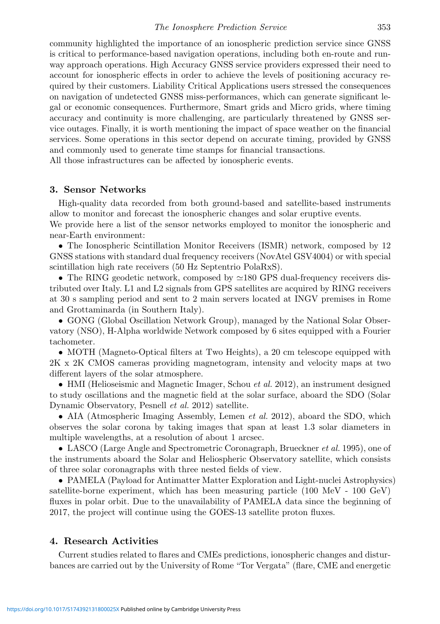community highlighted the importance of an ionospheric prediction service since GNSS is critical to performance-based navigation operations, including both en-route and runway approach operations. High Accuracy GNSS service providers expressed their need to account for ionospheric effects in order to achieve the levels of positioning accuracy required by their customers. Liability Critical Applications users stressed the consequences on navigation of undetected GNSS miss-performances, which can generate significant legal or economic consequences. Furthermore, Smart grids and Micro grids, where timing accuracy and continuity is more challenging, are particularly threatened by GNSS service outages. Finally, it is worth mentioning the impact of space weather on the financial services. Some operations in this sector depend on accurate timing, provided by GNSS and commonly used to generate time stamps for financial transactions.

All those infrastructures can be affected by ionospheric events.

#### **3. Sensor Networks**

High-quality data recorded from both ground-based and satellite-based instruments allow to monitor and forecast the ionospheric changes and solar eruptive events.

We provide here a list of the sensor networks employed to monitor the ionospheric and near-Earth environment:

• The Ionospheric Scintillation Monitor Receivers (ISMR) network, composed by 12 GNSS stations with standard dual frequency receivers (NovAtel GSV4004) or with special scintillation high rate receivers (50 Hz Septentrio PolaRxS).

• The RING geodetic network, composed by  $\simeq$ 180 GPS dual-frequency receivers distributed over Italy. L1 and L2 signals from GPS satellites are acquired by RING receivers at 30 s sampling period and sent to 2 main servers located at INGV premises in Rome and Grottaminarda (in Southern Italy).

• GONG (Global Oscillation Network Group), managed by the National Solar Observatory (NSO), H-Alpha worldwide Network composed by 6 sites equipped with a Fourier tachometer.

• MOTH (Magneto-Optical filters at Two Heights), a 20 cm telescope equipped with 2K x 2K CMOS cameras providing magnetogram, intensity and velocity maps at two different layers of the solar atmosphere.

• HMI (Helioseismic and Magnetic Imager, Schou *et al.* 2012), an instrument designed to study oscillations and the magnetic field at the solar surface, aboard the SDO (Solar Dynamic Observatory, Pesnell et al. 2012) satellite.

• AIA (Atmospheric Imaging Assembly, Lemen et al. 2012), aboard the SDO, which observes the solar corona by taking images that span at least 1.3 solar diameters in multiple wavelengths, at a resolution of about 1 arcsec.

• LASCO (Large Angle and Spectrometric Coronagraph, Brueckner *et al.* 1995), one of the instruments aboard the Solar and Heliospheric Observatory satellite, which consists of three solar coronagraphs with three nested fields of view.

• PAMELA (Payload for Antimatter Matter Exploration and Light-nuclei Astrophysics) satellite-borne experiment, which has been measuring particle (100 MeV - 100 GeV) fluxes in polar orbit. Due to the unavailability of PAMELA data since the beginning of 2017, the project will continue using the GOES-13 satellite proton fluxes.

#### **4. Research Activities**

Current studies related to flares and CMEs predictions, ionospheric changes and disturbances are carried out by the University of Rome "Tor Vergata" (flare, CME and energetic